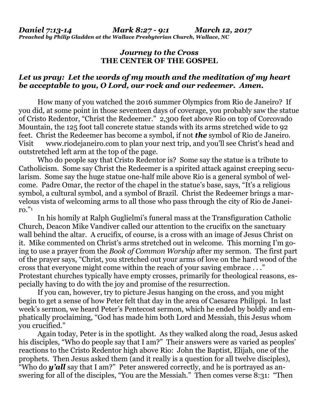## *Journey to the Cross* **THE CENTER OF THE GOSPEL**

## *Let us pray: Let the words of my mouth and the meditation of my heart be acceptable to you, O Lord, our rock and our redeemer. Amen.*

How many of you watched the 2016 summer Olympics from Rio de Janeiro? If you did, at some point in those seventeen days of coverage, you probably saw the statue of Cristo Redentor, "Christ the Redeemer." 2,300 feet above Rio on top of Corcovado Mountain, the 125 foot tall concrete statue stands with its arms stretched wide to 92 feet. Christ the Redeemer has become a symbol, if not *the* symbol of Rio de Janeiro. Visit [www.riodejaneiro.com](http://www.riodejaneiro.com/) to plan your next trip, and you'll see Christ's head and outstretched left arm at the top of the page.

Who do people say that Cristo Redentor is? Some say the statue is a tribute to Catholicism. Some say Christ the Redeemer is a spirited attack against creeping secularism. Some say the huge statue one-half mile above Rio is a general symbol of welcome. Padre Omar, the rector of the chapel in the statue's base, says, "It's a religious symbol, a cultural symbol, and a symbol of Brazil. Christ the Redeemer brings a marvelous vista of welcoming arms to all those who pass through the city of Rio de Janeiro." 1

In his homily at Ralph Guglielmi's funeral mass at the Transfiguration Catholic Church, Deacon Mike Vandiver called our attention to the crucifix on the sanctuary wall behind the altar. A crucifix, of course, is a cross with an image of Jesus Christ on it. Mike commented on Christ's arms stretched out in welcome. This morning I'm going to use a prayer from the *Book of Common Worship* after my sermon. The first part of the prayer says, "Christ, you stretched out your arms of love on the hard wood of the cross that everyone might come within the reach of your saving embrace . . ." Protestant churches typically have empty crosses, primarily for theological reasons, especially having to do with the joy and promise of the resurrection.

If you can, however, try to picture Jesus hanging on the cross, and you might begin to get a sense of how Peter felt that day in the area of Caesarea Philippi. In last week's sermon, we heard Peter's Pentecost sermon, which he ended by boldly and emphatically proclaiming, "God has made him both Lord and Messiah, this Jesus whom you crucified."

Again today, Peter is in the spotlight. As they walked along the road, Jesus asked his disciples, "Who do people say that I am?" Their answers were as varied as peoples' reactions to the Cristo Redentor high above Rio: John the Baptist, Elijah, one of the prophets. Then Jesus asked them (and it really is a question for all twelve disciples), "Who do *y'all* say that I am?" Peter answered correctly, and he is portrayed as answering for all of the disciples, "You are the Messiah." Then comes verse 8:31: "Then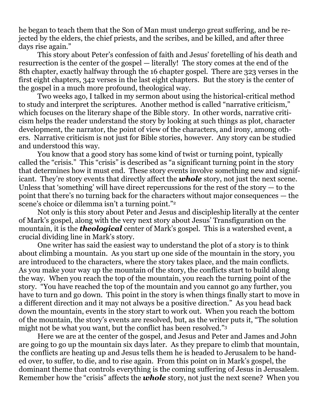he began to teach them that the Son of Man must undergo great suffering, and be rejected by the elders, the chief priests, and the scribes, and be killed, and after three days rise again."

This story about Peter's confession of faith and Jesus' foretelling of his death and resurrection is the center of the gospel — literally! The story comes at the end of the 8th chapter, exactly halfway through the 16 chapter gospel. There are 323 verses in the first eight chapters, 342 verses in the last eight chapters. But the story is the center of the gospel in a much more profound, theological way.

Two weeks ago, I talked in my sermon about using the historical-critical method to study and interpret the scriptures. Another method is called "narrative criticism," which focuses on the literary shape of the Bible story. In other words, narrative criticism helps the reader understand the story by looking at such things as plot, character development, the narrator, the point of view of the characters, and irony, among others. Narrative criticism is not just for Bible stories, however. Any story can be studied and understood this way.

You know that a good story has some kind of twist or turning point, typically called the "crisis." This "crisis" is described as "a significant turning point in the story that determines how it must end. These story events involve something new and significant. They're story events that directly affect the *whole* story, not just the next scene. Unless that 'something' will have direct repercussions for the rest of the story — to the point that there's no turning back for the characters without major consequences — the scene's choice or dilemma isn't a turning point." 2

Not only is this story about Peter and Jesus and discipleship literally at the center of Mark's gospel, along with the very next story about Jesus' Transfiguration on the mountain, it is the *theological* center of Mark's gospel. This is a watershed event, a crucial dividing line in Mark's story.

One writer has said the easiest way to understand the plot of a story is to think about climbing a mountain. As you start up one side of the mountain in the story, you are introduced to the characters, where the story takes place, and the main conflicts. As you make your way up the mountain of the story, the conflicts start to build along the way. When you reach the top of the mountain, you reach the turning point of the story. "You have reached the top of the mountain and you cannot go any further, you have to turn and go down. This point in the story is when things finally start to move in a different direction and it may not always be a positive direction." As you head back down the mountain, events in the story start to work out. When you reach the bottom of the mountain, the story's events are resolved, but, as the writer puts it, "The solution might not be what you want, but the conflict has been resolved." 3

Here we are at the center of the gospel, and Jesus and Peter and James and John are going to go up the mountain six days later. As they prepare to climb that mountain, the conflicts are heating up and Jesus tells them he is headed to Jerusalem to be handed over, to suffer, to die, and to rise again. From this point on in Mark's gospel, the dominant theme that controls everything is the coming suffering of Jesus in Jerusalem. Remember how the "crisis" affects the *whole* story, not just the next scene? When you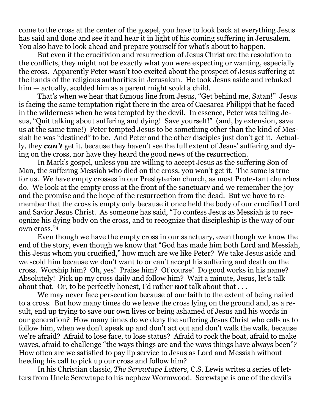come to the cross at the center of the gospel, you have to look back at everything Jesus has said and done and see it and hear it in light of his coming suffering in Jerusalem. You also have to look ahead and prepare yourself for what's about to happen.

But even if the crucifixion and resurrection of Jesus Christ are the resolution to the conflicts, they might not be exactly what you were expecting or wanting, especially the cross. Apparently Peter wasn't too excited about the prospect of Jesus suffering at the hands of the religious authorities in Jerusalem. He took Jesus aside and rebuked him — actually, scolded him as a parent might scold a child.

That's when we hear that famous line from Jesus, "Get behind me, Satan!" Jesus is facing the same temptation right there in the area of Caesarea Philippi that he faced in the wilderness when he was tempted by the devil. In essence, Peter was telling Jesus, "Quit talking about suffering and dying! Save yourself!" (and, by extension, save us at the same time!) Peter tempted Jesus to be something other than the kind of Messiah he was "destined" to be. And Peter and the other disciples just don't get it. Actually, they *can't* get it, because they haven't see the full extent of Jesus' suffering and dying on the cross, nor have they heard the good news of the resurrection.

In Mark's gospel, unless you are willing to accept Jesus as the suffering Son of Man, the suffering Messiah who died on the cross, you won't get it. The same is true for us. We have empty crosses in our Presbyterian church, as most Protestant churches do. We look at the empty cross at the front of the sanctuary and we remember the joy and the promise and the hope of the resurrection from the dead. But we have to remember that the cross is empty only because it once held the body of our crucified Lord and Savior Jesus Christ. As someone has said, "To confess Jesus as Messiah is to recognize his dying body on the cross, and to recognize that discipleship is the way of our own cross." 4

Even though we have the empty cross in our sanctuary, even though we know the end of the story, even though we know that "God has made him both Lord and Messiah, this Jesus whom you crucified," how much are we like Peter? We take Jesus aside and we scold him because we don't want to or can't accept his suffering and death on the cross. Worship him? Oh, yes! Praise him? Of course! Do good works in his name? Absolutely! Pick up my cross daily and follow him? Wait a minute, Jesus, let's talk about that. Or, to be perfectly honest, I'd rather *not* talk about that . . .

We may never face persecution because of our faith to the extent of being nailed to a cross. But how many times do we leave the cross lying on the ground and, as a result, end up trying to save our own lives or being ashamed of Jesus and his words in our generation? How many times do we deny the suffering Jesus Christ who calls us to follow him, when we don't speak up and don't act out and don't walk the walk, because we're afraid? Afraid to lose face, to lose status? Afraid to rock the boat, afraid to make waves, afraid to challenge "the ways things are and the ways things have always been"? How often are we satisfied to pay lip service to Jesus as Lord and Messiah without heeding his call to pick up our cross and follow him?

In his Christian classic, *The Screwtape Letters*, C.S. Lewis writes a series of letters from Uncle Screwtape to his nephew Wormwood. Screwtape is one of the devil's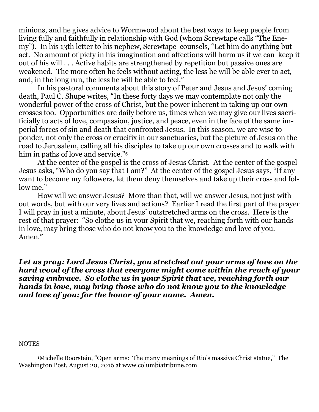minions, and he gives advice to Wormwood about the best ways to keep people from living fully and faithfully in relationship with God (whom Screwtape calls "The Enemy"). In his 13th letter to his nephew, Screwtape counsels, "Let him do anything but act. No amount of piety in his imagination and affections will harm us if we can keep it out of his will . . . Active habits are strengthened by repetition but passive ones are weakened. The more often he feels without acting, the less he will be able ever to act, and, in the long run, the less he will be able to feel."

In his pastoral comments about this story of Peter and Jesus and Jesus' coming death, Paul C. Shupe writes, "In these forty days we may contemplate not only the wonderful power of the cross of Christ, but the power inherent in taking up our own crosses too. Opportunities are daily before us, times when we may give our lives sacrificially to acts of love, compassion, justice, and peace, even in the face of the same imperial forces of sin and death that confronted Jesus. In this season, we are wise to ponder, not only the cross or crucifix in our sanctuaries, but the picture of Jesus on the road to Jerusalem, calling all his disciples to take up our own crosses and to walk with him in paths of love and service." 5

At the center of the gospel is the cross of Jesus Christ. At the center of the gospel Jesus asks, "Who do you say that I am?" At the center of the gospel Jesus says, "If any want to become my followers, let them deny themselves and take up their cross and follow me."

How will we answer Jesus? More than that, will we answer Jesus, not just with out words, but with our very lives and actions? Earlier I read the first part of the prayer I will pray in just a minute, about Jesus' outstretched arms on the cross. Here is the rest of that prayer: "So clothe us in your Spirit that we, reaching forth with our hands in love, may bring those who do not know you to the knowledge and love of you. Amen."

*Let us pray: Lord Jesus Christ, you stretched out your arms of love on the hard wood of the cross that everyone might come within the reach of your saving embrace. So clothe us in your Spirit that we, reaching forth our hands in love, may bring those who do not know you to the knowledge and love of you; for the honor of your name. Amen.*

## **NOTES**

<sup>1</sup>Michelle Boorstein, "Open arms: The many meanings of Rio's massive Christ statue," The Washington Post, August 20, 2016 at [www.columbiatribune.com.](http://www.columbiatribune.com/)